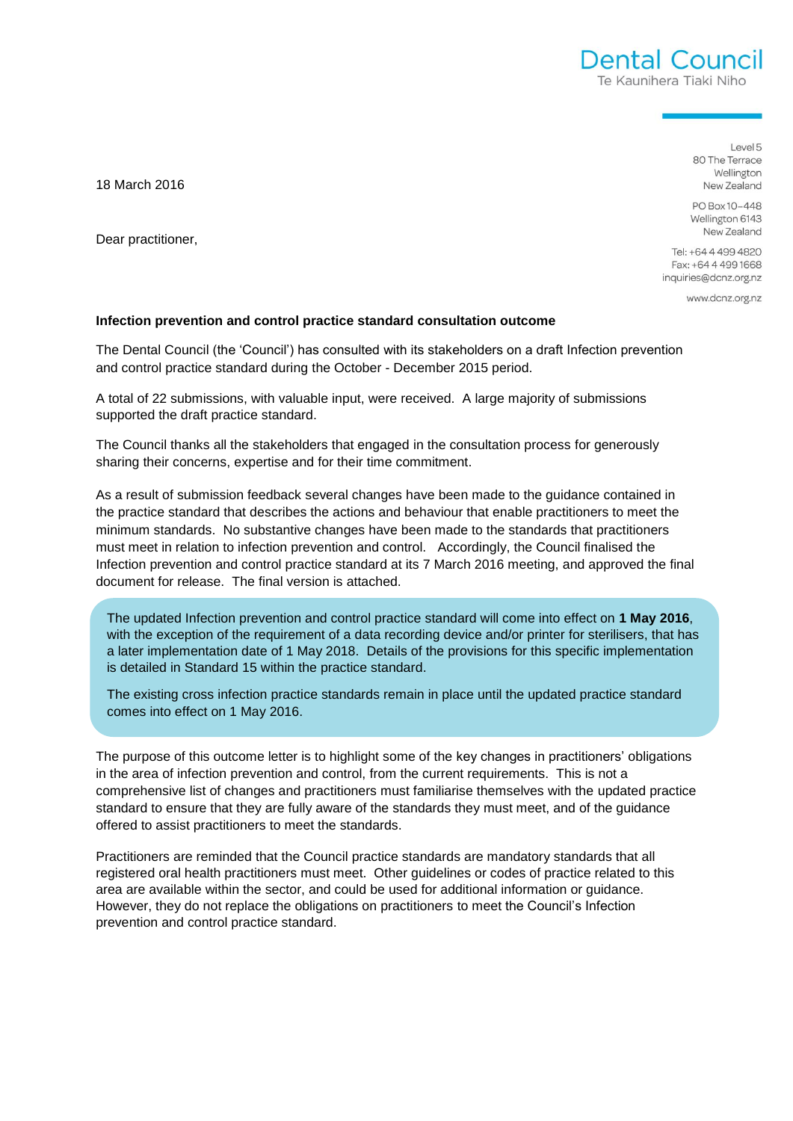Dental Council Te Kaunihera Tiaki Niho

> Level 5 80 The Terrace Wellington New Zealand

PO Box 10-448 Wellington 6143 New Zealand

Tel: +64 4 499 4820 Fax: +64 4 499 1668 inquiries@dcnz.org.nz

www.dcnz.org.nz

## **Infection prevention and control practice standard consultation outcome**

The Dental Council (the 'Council') has consulted with its stakeholders on a draft Infection prevention and control practice standard during the October - December 2015 period.

A total of 22 submissions, with valuable input, were received. A large majority of submissions supported the draft practice standard.

The Council thanks all the stakeholders that engaged in the consultation process for generously sharing their concerns, expertise and for their time commitment.

As a result of submission feedback several changes have been made to the guidance contained in the practice standard that describes the actions and behaviour that enable practitioners to meet the minimum standards. No substantive changes have been made to the standards that practitioners must meet in relation to infection prevention and control. Accordingly, the Council finalised the Infection prevention and control practice standard at its 7 March 2016 meeting, and approved the final document for release. The final version is attached.

The updated Infection prevention and control practice standard will come into effect on **1 May 2016**, with the exception of the requirement of a data recording device and/or printer for sterilisers, that has a later implementation date of 1 May 2018. Details of the provisions for this specific implementation is detailed in Standard 15 within the practice standard.

The existing cross infection practice standards remain in place until the updated practice standard comes into effect on 1 May 2016.

The purpose of this outcome letter is to highlight some of the key changes in practitioners' obligations in the area of infection prevention and control, from the current requirements. This is not a comprehensive list of changes and practitioners must familiarise themselves with the updated practice standard to ensure that they are fully aware of the standards they must meet, and of the guidance offered to assist practitioners to meet the standards.

Practitioners are reminded that the Council practice standards are mandatory standards that all registered oral health practitioners must meet. Other guidelines or codes of practice related to this area are available within the sector, and could be used for additional information or guidance. However, they do not replace the obligations on practitioners to meet the Council's Infection prevention and control practice standard.

18 March 2016

Dear practitioner,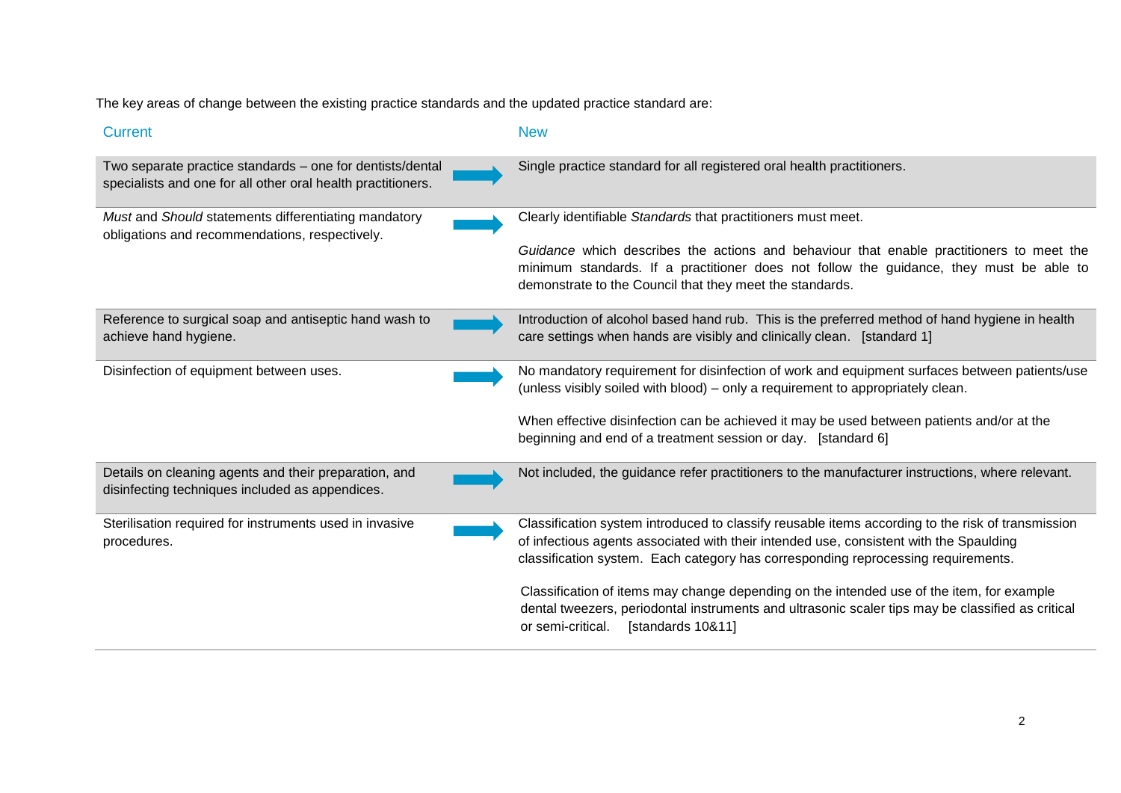The key areas of change between the existing practice standards and the updated practice standard are:

| <b>Current</b>                                                                                                            | <b>New</b>                                                                                                                                                                                                                                                                       |
|---------------------------------------------------------------------------------------------------------------------------|----------------------------------------------------------------------------------------------------------------------------------------------------------------------------------------------------------------------------------------------------------------------------------|
| Two separate practice standards – one for dentists/dental<br>specialists and one for all other oral health practitioners. | Single practice standard for all registered oral health practitioners.                                                                                                                                                                                                           |
| Must and Should statements differentiating mandatory<br>obligations and recommendations, respectively.                    | Clearly identifiable Standards that practitioners must meet.                                                                                                                                                                                                                     |
|                                                                                                                           | Guidance which describes the actions and behaviour that enable practitioners to meet the<br>minimum standards. If a practitioner does not follow the guidance, they must be able to<br>demonstrate to the Council that they meet the standards.                                  |
| Reference to surgical soap and antiseptic hand wash to<br>achieve hand hygiene.                                           | Introduction of alcohol based hand rub. This is the preferred method of hand hygiene in health<br>care settings when hands are visibly and clinically clean. [standard 1]                                                                                                        |
| Disinfection of equipment between uses.                                                                                   | No mandatory requirement for disinfection of work and equipment surfaces between patients/use<br>(unless visibly soiled with blood) – only a requirement to appropriately clean.                                                                                                 |
|                                                                                                                           | When effective disinfection can be achieved it may be used between patients and/or at the<br>beginning and end of a treatment session or day. [standard 6]                                                                                                                       |
| Details on cleaning agents and their preparation, and<br>disinfecting techniques included as appendices.                  | Not included, the guidance refer practitioners to the manufacturer instructions, where relevant.                                                                                                                                                                                 |
| Sterilisation required for instruments used in invasive<br>procedures.                                                    | Classification system introduced to classify reusable items according to the risk of transmission<br>of infectious agents associated with their intended use, consistent with the Spaulding<br>classification system. Each category has corresponding reprocessing requirements. |
|                                                                                                                           | Classification of items may change depending on the intended use of the item, for example<br>dental tweezers, periodontal instruments and ultrasonic scaler tips may be classified as critical<br>[standards 10&11]<br>or semi-critical.                                         |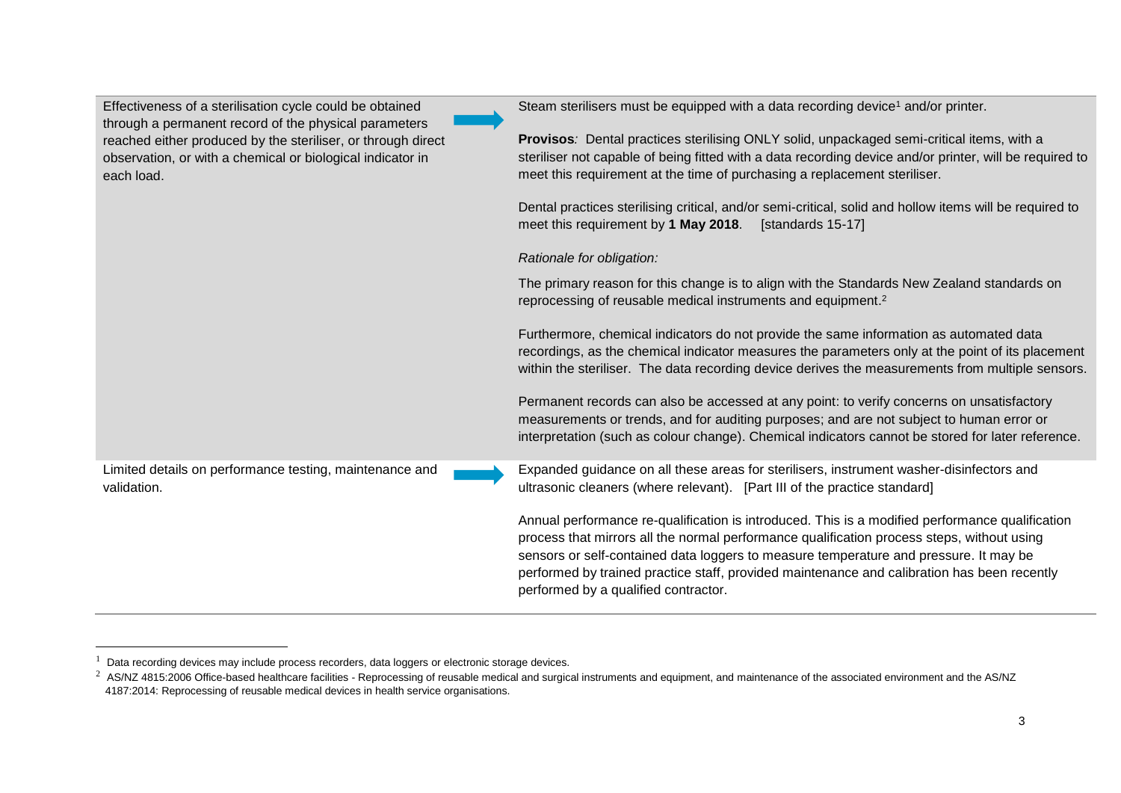| Effectiveness of a sterilisation cycle could be obtained<br>through a permanent record of the physical parameters                        | Steam sterilisers must be equipped with a data recording device <sup>1</sup> and/or printer.                                                                                                                                                                                                                                                                                                                                  |
|------------------------------------------------------------------------------------------------------------------------------------------|-------------------------------------------------------------------------------------------------------------------------------------------------------------------------------------------------------------------------------------------------------------------------------------------------------------------------------------------------------------------------------------------------------------------------------|
| reached either produced by the steriliser, or through direct<br>observation, or with a chemical or biological indicator in<br>each load. | Provisos: Dental practices sterilising ONLY solid, unpackaged semi-critical items, with a<br>steriliser not capable of being fitted with a data recording device and/or printer, will be required to<br>meet this requirement at the time of purchasing a replacement steriliser.                                                                                                                                             |
|                                                                                                                                          | Dental practices sterilising critical, and/or semi-critical, solid and hollow items will be required to<br>meet this requirement by 1 May 2018.<br>[standards 15-17]                                                                                                                                                                                                                                                          |
|                                                                                                                                          | Rationale for obligation:                                                                                                                                                                                                                                                                                                                                                                                                     |
|                                                                                                                                          | The primary reason for this change is to align with the Standards New Zealand standards on<br>reprocessing of reusable medical instruments and equipment. <sup>2</sup>                                                                                                                                                                                                                                                        |
|                                                                                                                                          | Furthermore, chemical indicators do not provide the same information as automated data<br>recordings, as the chemical indicator measures the parameters only at the point of its placement<br>within the steriliser. The data recording device derives the measurements from multiple sensors.                                                                                                                                |
|                                                                                                                                          | Permanent records can also be accessed at any point: to verify concerns on unsatisfactory<br>measurements or trends, and for auditing purposes; and are not subject to human error or<br>interpretation (such as colour change). Chemical indicators cannot be stored for later reference.                                                                                                                                    |
| Limited details on performance testing, maintenance and<br>validation.                                                                   | Expanded guidance on all these areas for sterilisers, instrument washer-disinfectors and<br>ultrasonic cleaners (where relevant). [Part III of the practice standard]                                                                                                                                                                                                                                                         |
|                                                                                                                                          | Annual performance re-qualification is introduced. This is a modified performance qualification<br>process that mirrors all the normal performance qualification process steps, without using<br>sensors or self-contained data loggers to measure temperature and pressure. It may be<br>performed by trained practice staff, provided maintenance and calibration has been recently<br>performed by a qualified contractor. |

 $\overline{\phantom{a}}$ 

 $^1$  Data recording devices may include process recorders, data loggers or electronic storage devices.<br><sup>2</sup> AS/NZ 4815:2006 Office-based healthcare facilities - Reprocessing of reusable medical and surgical instruments and 4187:2014: Reprocessing of reusable medical devices in health service organisations.